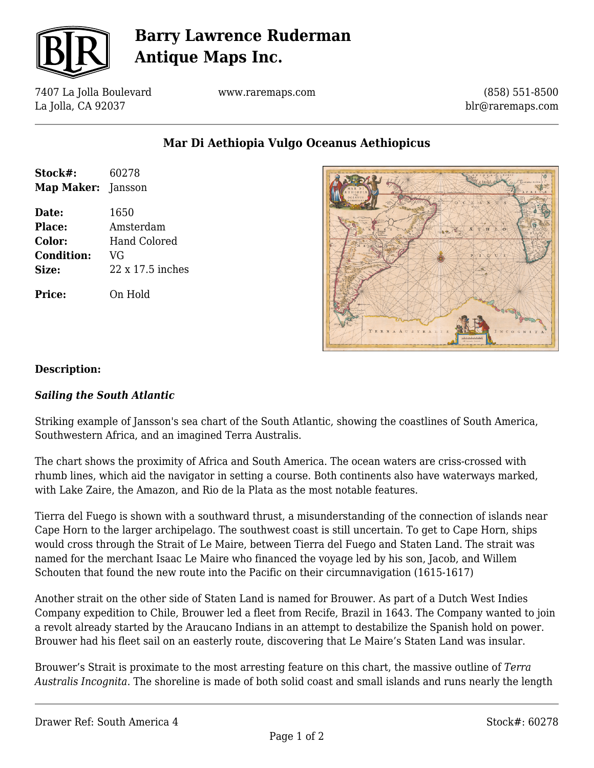

# **Barry Lawrence Ruderman Antique Maps Inc.**

7407 La Jolla Boulevard La Jolla, CA 92037

www.raremaps.com

(858) 551-8500 blr@raremaps.com

**Mar Di Aethiopia Vulgo Oceanus Aethiopicus**

| Stock#:<br>Map Maker: | 60278<br>Jansson |
|-----------------------|------------------|
| Date:                 | 1650             |
| Place:                | Amsterdam        |
| Color:                | Hand Colored     |
| <b>Condition:</b>     | VG               |
| Size:                 | 22 x 17.5 inches |
| Price:                | On Hold          |



### **Description:**

#### *Sailing the South Atlantic*

Striking example of Jansson's sea chart of the South Atlantic, showing the coastlines of South America, Southwestern Africa, and an imagined Terra Australis.

The chart shows the proximity of Africa and South America. The ocean waters are criss-crossed with rhumb lines, which aid the navigator in setting a course. Both continents also have waterways marked, with Lake Zaire, the Amazon, and Rio de la Plata as the most notable features.

Tierra del Fuego is shown with a southward thrust, a misunderstanding of the connection of islands near Cape Horn to the larger archipelago. The southwest coast is still uncertain. To get to Cape Horn, ships would cross through the Strait of Le Maire, between Tierra del Fuego and Staten Land. The strait was named for the merchant Isaac Le Maire who financed the voyage led by his son, Jacob, and Willem Schouten that found the new route into the Pacific on their circumnavigation (1615-1617)

Another strait on the other side of Staten Land is named for Brouwer. As part of a Dutch West Indies Company expedition to Chile, Brouwer led a fleet from Recife, Brazil in 1643. The Company wanted to join a revolt already started by the Araucano Indians in an attempt to destabilize the Spanish hold on power. Brouwer had his fleet sail on an easterly route, discovering that Le Maire's Staten Land was insular.

Brouwer's Strait is proximate to the most arresting feature on this chart, the massive outline of *Terra Australis Incognita*. The shoreline is made of both solid coast and small islands and runs nearly the length